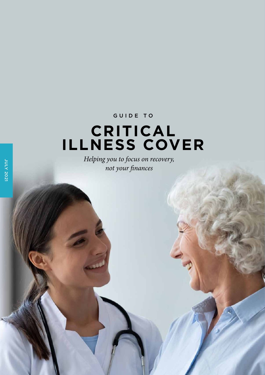### GUIDE TO

## **CRITICAL ILLNESS COVER**

*Helping you to focus on recovery, not your finances*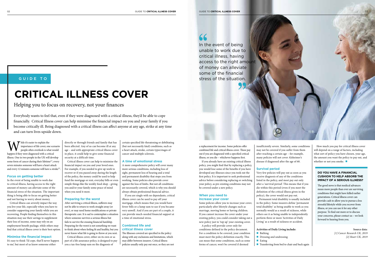#### **Focus on getting better**

In the event of being unable to work due to critical illness, having access to the right amount of money can alleviate some of the financial stress of the situation. The important thing is being able to focus on getting better and not having to worry about money.

Critical illness can severely impact the way you live your life, especially when you have to consider supporting your family while you are recovering. People finding themselves in this situation may use their savings to supplement their loss of income, some may rely on an employment benefit package, while others may find that critical illness cover is their best option.

#### **Minimise the financial impact**

It's easy to think 'I'd cope, that'll never happen to me', but most of us know someone either

directly or through friends and family that has been affected. Any of us can become ill at any age – and with appropriate critical illness cover in place, it could help to give some financial security at a difficult time.

Critical illness cover can help to minimise the financial impact on you and your loved ones. For example, if you needed to give up work to recover or if you passed away during the length of the policy, the money could be used to help fund the mortgage or rent, everyday bills or even simple things like the weekly food shop – giving you and/or your family some peace of mind when you need it most.

#### **Preparing for the worst**

After surviving a critical illness, sufferers may not be able to return to work straight away (or ever), or may need home modifications or private therapeutic care. It is sad to contemplate a situation where someone survives a serious illness but fails to survive the ensuing financial hardship. Preparing for the worst is not something we want to think about when feeling fit and healthy, but you never know what life is going to throw at you next.

Critical illness cover, either on its own or as part of a life assurance policy, is designed to pay you a tax-free lump sum on the diagnosis of

certain specified life-threatening or debilitating (but not necessarily fatal) conditions, such as a heart attack, stroke, certain types/stages of cancer and multiple sclerosis.

#### **A time of emotional stress**

A more comprehensive policy will cover many more serious conditions, including loss of sight, permanent loss of hearing and a total and permanent disability that stops you from working. Some policies also provide cover against the loss of limbs. But not all conditions are necessarily covered, which is why you should always obtain professional financial advice.

How much you pay for critical illness cover will depend on a range of factors, including what sort of policy you have chosen, your age, the amount you want the policy to pay out, and whether or not you smoke.  $\blacksquare$ 

If you are single with no dependants, critical illness cover can be used to pay off your mortgage, which means that you would have fewer bills or a lump sum to use if you became very unwell. And if you are part of a couple, it can provide much-needed financial support at a time of emotional stress.

#### **Combined life and critical illness cover**

The illnesses covered are specified in the policy along with any exclusions and limitations, which may differ between insurers. Critical illness policies usually only pay out once, so they are not 66

### GUIDE TO

# **CRITICAL ILLNESS COVER**

Helping you to focus on recovery, not your finances

Everybody wants to feel that, even if they were diagnosed with a critical illness, they'd be able to cope financially. Critical Illness cover can help minimise the financial impact on you and your family if you become critically ill. Being diagnosed with a critical illness can affect anyone at any age, strike at any time and can turn lives upside down.

W hile it's easier to explain the<br>
people often overlook is what we<br>
happen if they were diagnosed with a critical importance of life cover, one scenario people often overlook is what would illness. One in two people in the UK will develop some form of cancer during their lifetime $[1]$ , every seven minutes someone will have a heart attack and every 12 minutes someone will have a stroke<sup>[2]</sup>.

a replacement for income. Some policies offer combined life and critical illness cover. These pay out if you are diagnosed with a specified critical illness, or you die – whichever happens first.

If you already have an existing critical illness policy, you might find that by replacing a policy, you would lose some of the benefits if you have developed any illnesses since you took out the first policy. It is important to seek professional advice before considering replacing or switching your policy, as pre-existing conditions may not be covered under a new policy.

#### **When you need to increase your cover**

Some policies allow you to increase your cover, particularly after lifestyle changes such as marriage, moving home or having children. If you cannot increase the cover under your existing policy, you could consider taking out new policy just to 'top up' your existing cover. A policy will provide cover only for

conditions defined in the policy document. For a condition to be covered, your condition must meet the policy definition exactly. This can mean that some conditions, such as some forms of cancer, won't be covered if deemed

insufficiently severe. Similarly, some conditions may not be covered if you suffer from them after reaching a certain age – for example, many policies will not cover Alzheimer's disease if diagnosed after the age of 60.

#### **Survival period**

Very few policies will pay out as soon as you receive diagnosis of any of the conditions listed in the policy, and most pay out only after a 'survival period'. This means that if you die within this period (even if you meet the definition of the critical illness given in the policy), the cover would not pay out. in the policy. Some insurers define 'permanent total disability' as being unable to work as you normally would as a result of sickness, while others see it as being unable to independently perform three or more 'Activities of Daily Living' as a result of sickness or accident.

Permanent total disability is usually included

#### **Activities of Daily Living include:**

- **n** Bathing
- $\blacksquare$  Dressing and undressing  $\blacksquare$  Eating
	-



 $\blacksquare$  <br> Transferring from bed to chair and back again

**Source data:** *[1] Cancer Research UK, 2019 [2] Heart UK, 2019*

#### **DO YOU HAVE A FINANCIAL CUSHION TO HELP ABSORB THE IMPACT OF A SERIOUS ILLNESS?**

The good news is that medical advances mean more people than ever are surviving conditions that might have killed earlier generations. Critical illness cover can provide cash to allow you to pursue a less stressful lifestyle while you recover from illness, or you can use it for any other purpose. To find out more or to discuss your concerns, please contact us – we look forward to hearing from you.

In the event of being unable to work due to critical illness, having access to the right amount of money can alleviate some of the financial stress of the situation.